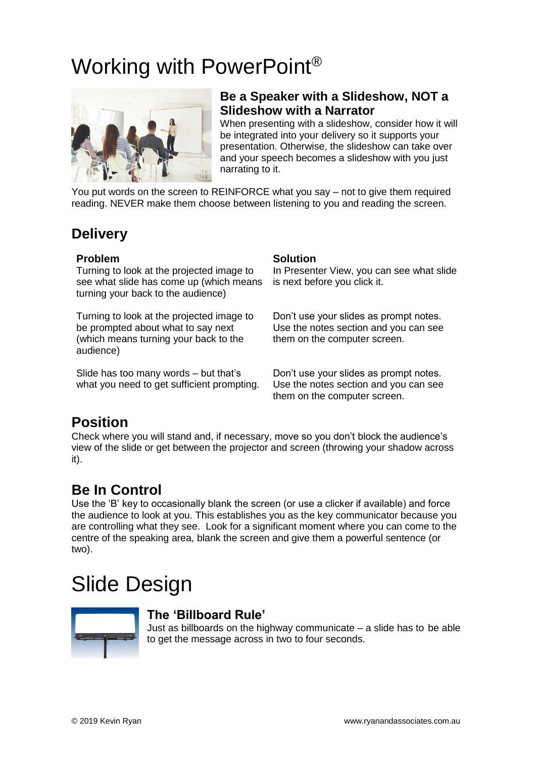# Working with PowerPoint®



#### **Be a Speaker with a Slideshow, NOT a Slideshow with a Narrator**

When presenting with a slideshow, consider how it will be integrated into your delivery so it supports your presentation. Otherwise, the slideshow can take over and your speech becomes a slideshow with you just narrating to it.

You put words on the screen to REINFORCE what you say – not to give them required reading. NEVER make them choose between listening to you and reading the screen.

# **Delivery**

#### **Problem Solution**

Turning to look at the projected image to see what slide has come up (which means turning your back to the audience)

Turning to look at the projected image to be prompted about what to say next (which means turning your back to the audience)

Slide has too many words – but that's what you need to get sufficient prompting.

In Presenter View, you can see what slide is next before you click it.

Don't use your slides as prompt notes. Use the notes section and you can see them on the computer screen.

Don't use your slides as prompt notes. Use the notes section and you can see them on the computer screen.

# **Position**

Check where you will stand and, if necessary, move so you don't block the audience's view of the slide or get between the projector and screen (throwing your shadow across it).

# **Be In Control**

Use the 'B' key to occasionally blank the screen (or use a clicker if available) and force the audience to look at you. This establishes you as the key communicator because you are controlling what they see. Look for a significant moment where you can come to the centre of the speaking area, blank the screen and give them a powerful sentence (or two).

# Slide Design



#### **The 'Billboard Rule'**

Just as billboards on the highway communicate – a slide has to be able to get the message across in two to four seconds.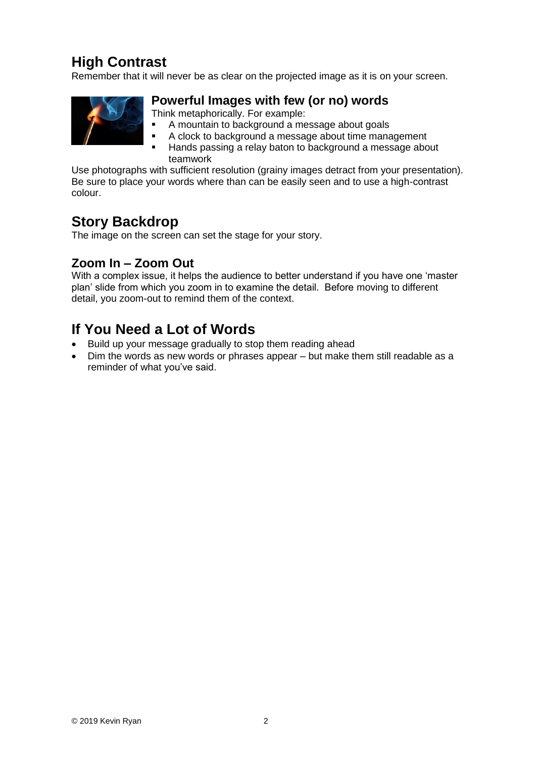# **High Contrast**

Remember that it will never be as clear on the projected image as it is on your screen.



#### **Powerful Images with few (or no) words**

Think metaphorically. For example:

- A mountain to background a message about goals
- A clock to background a message about time management
- Hands passing a relay baton to background a message about teamwork

Use photographs with sufficient resolution (grainy images detract from your presentation). Be sure to place your words where than can be easily seen and to use a high-contrast colour.

### **Story Backdrop**

The image on the screen can set the stage for your story.

### **Zoom In – Zoom Out**

With a complex issue, it helps the audience to better understand if you have one 'master plan' slide from which you zoom in to examine the detail. Before moving to different detail, you zoom-out to remind them of the context.

# **If You Need a Lot of Words**

- Build up your message gradually to stop them reading ahead
- Dim the words as new words or phrases appear but make them still readable as a reminder of what you've said.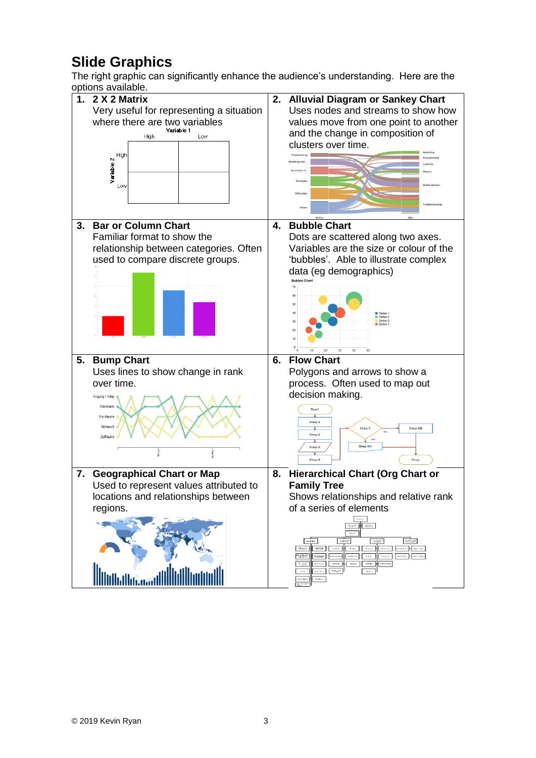# **Slide Graphics**

The right graphic can significantly enhance the audience's understanding. Here are the options available.

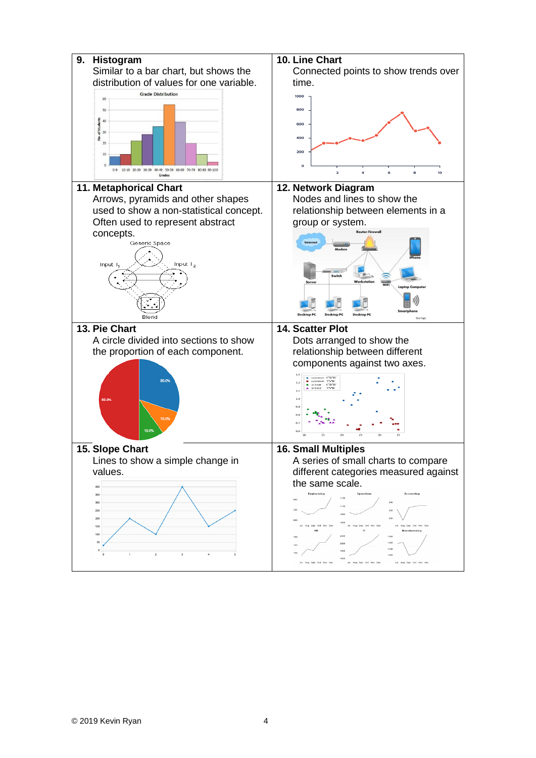